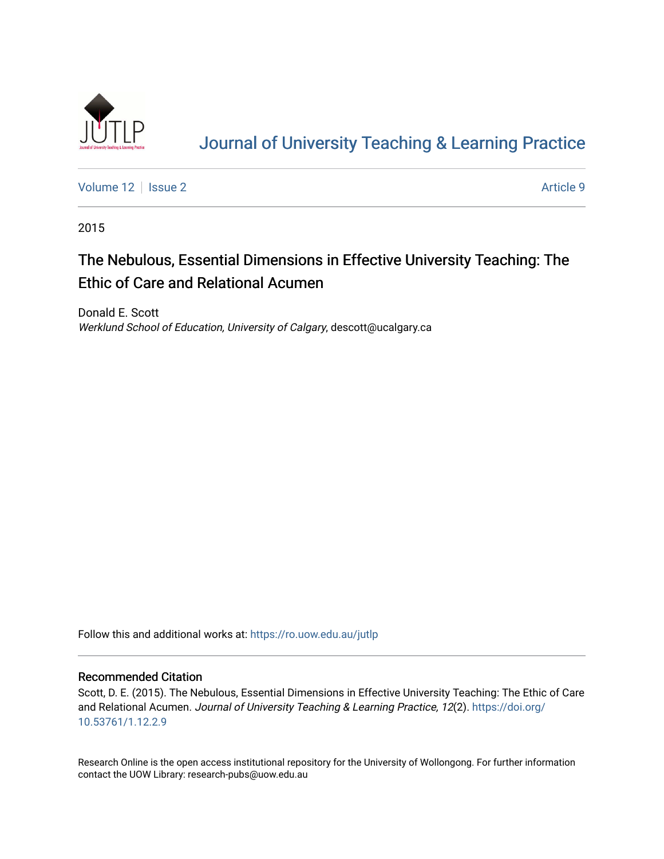

# [Journal of University Teaching & Learning Practice](https://ro.uow.edu.au/jutlp)

[Volume 12](https://ro.uow.edu.au/jutlp/vol12) | [Issue 2](https://ro.uow.edu.au/jutlp/vol12/iss2) Article 9

2015

# The Nebulous, Essential Dimensions in Effective University Teaching: The Ethic of Care and Relational Acumen

Donald E. Scott Werklund School of Education, University of Calgary, descott@ucalgary.ca

Follow this and additional works at: [https://ro.uow.edu.au/jutlp](https://ro.uow.edu.au/jutlp?utm_source=ro.uow.edu.au%2Fjutlp%2Fvol12%2Fiss2%2F9&utm_medium=PDF&utm_campaign=PDFCoverPages) 

### Recommended Citation

Scott, D. E. (2015). The Nebulous, Essential Dimensions in Effective University Teaching: The Ethic of Care and Relational Acumen. Journal of University Teaching & Learning Practice, 12(2). [https://doi.org/](https://doi.org/10.53761/1.12.2.9) [10.53761/1.12.2.9](https://doi.org/10.53761/1.12.2.9) 

Research Online is the open access institutional repository for the University of Wollongong. For further information contact the UOW Library: research-pubs@uow.edu.au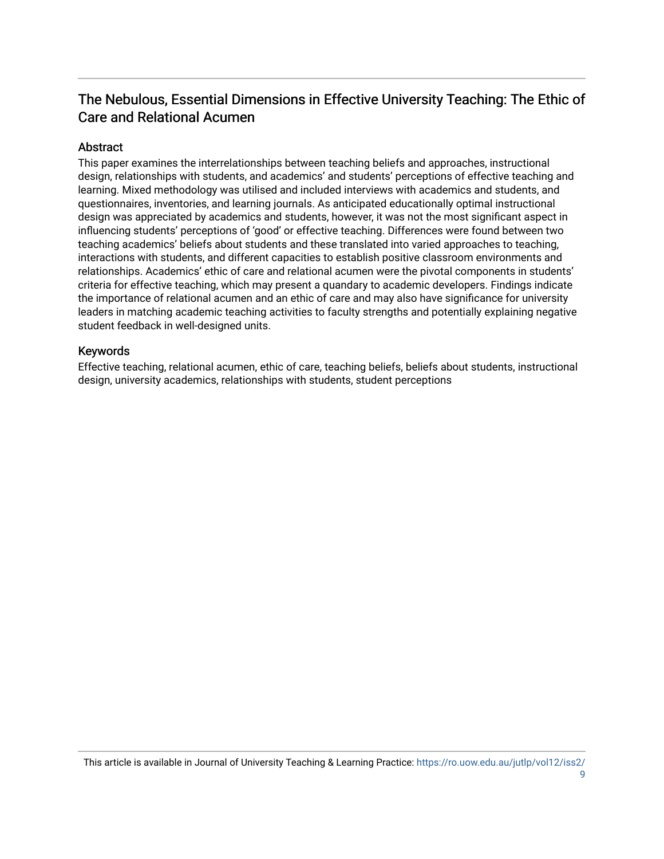# The Nebulous, Essential Dimensions in Effective University Teaching: The Ethic of Care and Relational Acumen

## Abstract

This paper examines the interrelationships between teaching beliefs and approaches, instructional design, relationships with students, and academics' and students' perceptions of effective teaching and learning. Mixed methodology was utilised and included interviews with academics and students, and questionnaires, inventories, and learning journals. As anticipated educationally optimal instructional design was appreciated by academics and students, however, it was not the most significant aspect in influencing students' perceptions of 'good' or effective teaching. Differences were found between two teaching academics' beliefs about students and these translated into varied approaches to teaching, interactions with students, and different capacities to establish positive classroom environments and relationships. Academics' ethic of care and relational acumen were the pivotal components in students' criteria for effective teaching, which may present a quandary to academic developers. Findings indicate the importance of relational acumen and an ethic of care and may also have significance for university leaders in matching academic teaching activities to faculty strengths and potentially explaining negative student feedback in well-designed units.

### Keywords

Effective teaching, relational acumen, ethic of care, teaching beliefs, beliefs about students, instructional design, university academics, relationships with students, student perceptions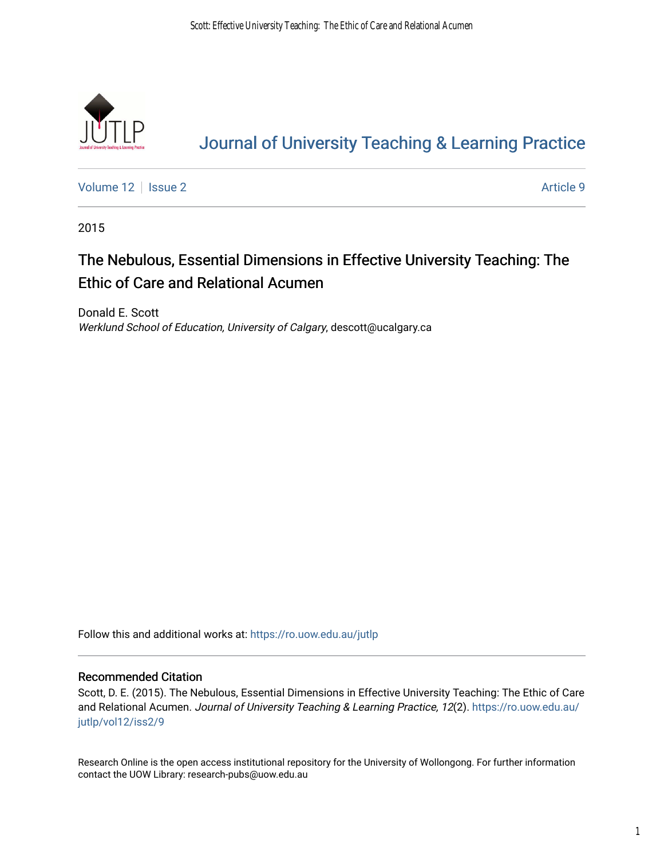

# [Journal of University Teaching & Learning Practice](https://ro.uow.edu.au/jutlp)

[Volume 12](https://ro.uow.edu.au/jutlp/vol12) | [Issue 2](https://ro.uow.edu.au/jutlp/vol12/iss2) Article 9

2015

# The Nebulous, Essential Dimensions in Effective University Teaching: The Ethic of Care and Relational Acumen

Donald E. Scott Werklund School of Education, University of Calgary, descott@ucalgary.ca

Follow this and additional works at: [https://ro.uow.edu.au/jutlp](https://ro.uow.edu.au/jutlp?utm_source=ro.uow.edu.au%2Fjutlp%2Fvol12%2Fiss2%2F9&utm_medium=PDF&utm_campaign=PDFCoverPages) 

### Recommended Citation

Scott, D. E. (2015). The Nebulous, Essential Dimensions in Effective University Teaching: The Ethic of Care and Relational Acumen. Journal of University Teaching & Learning Practice, 12(2). [https://ro.uow.edu.au/](https://ro.uow.edu.au/jutlp/vol12/iss2/9?utm_source=ro.uow.edu.au%2Fjutlp%2Fvol12%2Fiss2%2F9&utm_medium=PDF&utm_campaign=PDFCoverPages) [jutlp/vol12/iss2/9](https://ro.uow.edu.au/jutlp/vol12/iss2/9?utm_source=ro.uow.edu.au%2Fjutlp%2Fvol12%2Fiss2%2F9&utm_medium=PDF&utm_campaign=PDFCoverPages) 

Research Online is the open access institutional repository for the University of Wollongong. For further information contact the UOW Library: research-pubs@uow.edu.au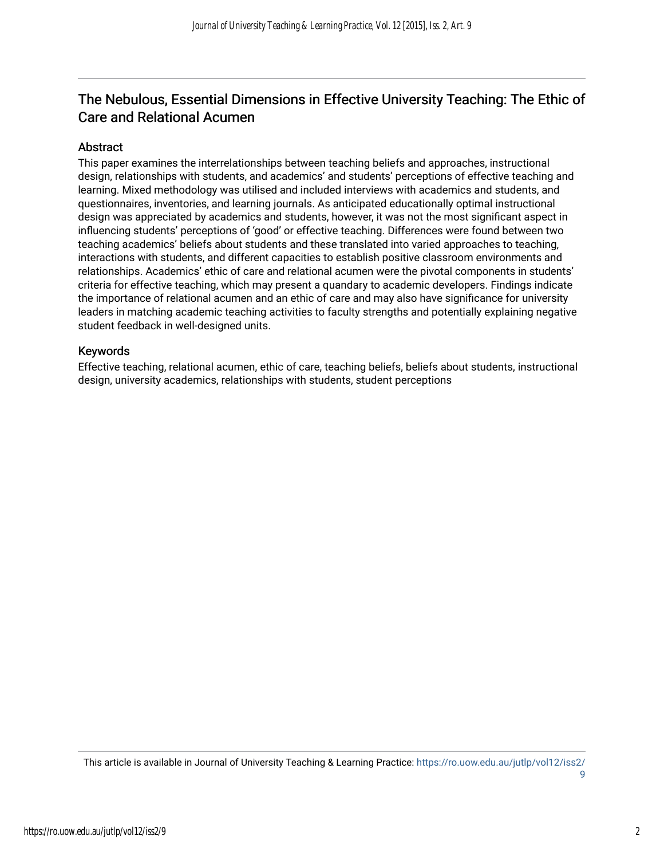# The Nebulous, Essential Dimensions in Effective University Teaching: The Ethic of Care and Relational Acumen

## Abstract

This paper examines the interrelationships between teaching beliefs and approaches, instructional design, relationships with students, and academics' and students' perceptions of effective teaching and learning. Mixed methodology was utilised and included interviews with academics and students, and questionnaires, inventories, and learning journals. As anticipated educationally optimal instructional design was appreciated by academics and students, however, it was not the most significant aspect in influencing students' perceptions of 'good' or effective teaching. Differences were found between two teaching academics' beliefs about students and these translated into varied approaches to teaching, interactions with students, and different capacities to establish positive classroom environments and relationships. Academics' ethic of care and relational acumen were the pivotal components in students' criteria for effective teaching, which may present a quandary to academic developers. Findings indicate the importance of relational acumen and an ethic of care and may also have significance for university leaders in matching academic teaching activities to faculty strengths and potentially explaining negative student feedback in well-designed units.

### Keywords

Effective teaching, relational acumen, ethic of care, teaching beliefs, beliefs about students, instructional design, university academics, relationships with students, student perceptions

This article is available in Journal of University Teaching & Learning Practice: [https://ro.uow.edu.au/jutlp/vol12/iss2/](https://ro.uow.edu.au/jutlp/vol12/iss2/9) [9](https://ro.uow.edu.au/jutlp/vol12/iss2/9)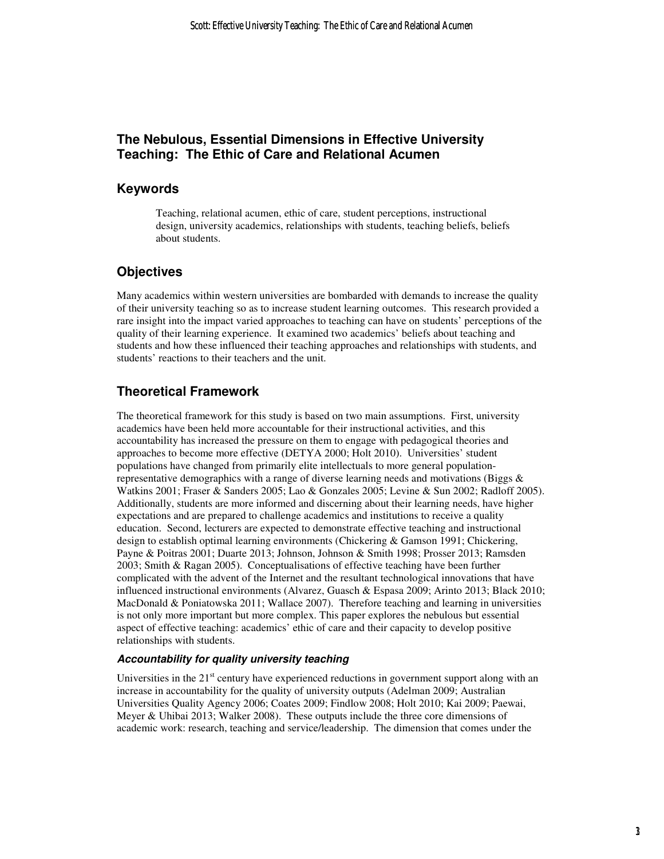## **The Nebulous, Essential Dimensions in Effective University Teaching: The Ethic of Care and Relational Acumen**

### **Keywords**

Teaching, relational acumen, ethic of care, student perceptions, instructional design, university academics, relationships with students, teaching beliefs, beliefs about students.

# **Objectives**

Many academics within western universities are bombarded with demands to increase the quality of their university teaching so as to increase student learning outcomes. This research provided a rare insight into the impact varied approaches to teaching can have on students' perceptions of the quality of their learning experience. It examined two academics' beliefs about teaching and students and how these influenced their teaching approaches and relationships with students, and students' reactions to their teachers and the unit.

# **Theoretical Framework**

The theoretical framework for this study is based on two main assumptions. First, university academics have been held more accountable for their instructional activities, and this accountability has increased the pressure on them to engage with pedagogical theories and approaches to become more effective (DETYA 2000; Holt 2010). Universities' student populations have changed from primarily elite intellectuals to more general populationrepresentative demographics with a range of diverse learning needs and motivations (Biggs & Watkins 2001; Fraser & Sanders 2005; Lao & Gonzales 2005; Levine & Sun 2002; Radloff 2005). Additionally, students are more informed and discerning about their learning needs, have higher expectations and are prepared to challenge academics and institutions to receive a quality education. Second, lecturers are expected to demonstrate effective teaching and instructional design to establish optimal learning environments (Chickering & Gamson 1991; Chickering, Payne & Poitras 2001; Duarte 2013; Johnson, Johnson & Smith 1998; Prosser 2013; Ramsden 2003; Smith & Ragan 2005). Conceptualisations of effective teaching have been further complicated with the advent of the Internet and the resultant technological innovations that have influenced instructional environments (Alvarez, Guasch & Espasa 2009; Arinto 2013; Black 2010; MacDonald & Poniatowska 2011; Wallace 2007). Therefore teaching and learning in universities is not only more important but more complex. This paper explores the nebulous but essential aspect of effective teaching: academics' ethic of care and their capacity to develop positive relationships with students.

#### **Accountability for quality university teaching**

Universities in the  $21<sup>st</sup>$  century have experienced reductions in government support along with an increase in accountability for the quality of university outputs (Adelman 2009; Australian Universities Quality Agency 2006; Coates 2009; Findlow 2008; Holt 2010; Kai 2009; Paewai, Meyer & Uhibai 2013; Walker 2008). These outputs include the three core dimensions of academic work: research, teaching and service/leadership. The dimension that comes under the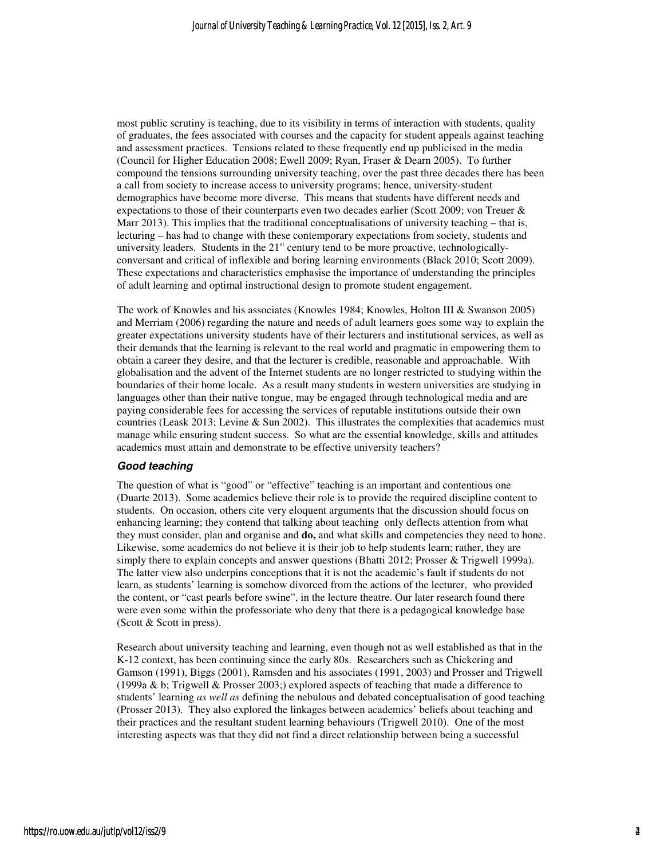most public scrutiny is teaching, due to its visibility in terms of interaction with students, quality of graduates, the fees associated with courses and the capacity for student appeals against teaching and assessment practices. Tensions related to these frequently end up publicised in the media (Council for Higher Education 2008; Ewell 2009; Ryan, Fraser & Dearn 2005). To further compound the tensions surrounding university teaching, over the past three decades there has been a call from society to increase access to university programs; hence, university-student demographics have become more diverse. This means that students have different needs and expectations to those of their counterparts even two decades earlier (Scott 2009; von Treuer  $\&$ Marr 2013). This implies that the traditional conceptualisations of university teaching – that is, lecturing – has had to change with these contemporary expectations from society, students and university leaders. Students in the  $21<sup>st</sup>$  century tend to be more proactive, technologicallyconversant and critical of inflexible and boring learning environments (Black 2010; Scott 2009). These expectations and characteristics emphasise the importance of understanding the principles of adult learning and optimal instructional design to promote student engagement.

The work of Knowles and his associates (Knowles 1984; Knowles, Holton III & Swanson 2005) and Merriam (2006) regarding the nature and needs of adult learners goes some way to explain the greater expectations university students have of their lecturers and institutional services, as well as their demands that the learning is relevant to the real world and pragmatic in empowering them to obtain a career they desire, and that the lecturer is credible, reasonable and approachable. With globalisation and the advent of the Internet students are no longer restricted to studying within the boundaries of their home locale. As a result many students in western universities are studying in languages other than their native tongue, may be engaged through technological media and are paying considerable fees for accessing the services of reputable institutions outside their own countries (Leask 2013; Levine & Sun 2002). This illustrates the complexities that academics must manage while ensuring student success. So what are the essential knowledge, skills and attitudes academics must attain and demonstrate to be effective university teachers?

#### **Good teaching**

The question of what is "good" or "effective" teaching is an important and contentious one (Duarte 2013). Some academics believe their role is to provide the required discipline content to students. On occasion, others cite very eloquent arguments that the discussion should focus on enhancing learning; they contend that talking about teaching only deflects attention from what they must consider, plan and organise and **do,** and what skills and competencies they need to hone. Likewise, some academics do not believe it is their job to help students learn; rather, they are simply there to explain concepts and answer questions (Bhatti 2012; Prosser & Trigwell 1999a). The latter view also underpins conceptions that it is not the academic's fault if students do not learn, as students' learning is somehow divorced from the actions of the lecturer, who provided the content, or "cast pearls before swine", in the lecture theatre. Our later research found there were even some within the professoriate who deny that there is a pedagogical knowledge base (Scott & Scott in press).

Research about university teaching and learning, even though not as well established as that in the K-12 context, has been continuing since the early 80s. Researchers such as Chickering and Gamson (1991), Biggs (2001), Ramsden and his associates (1991, 2003) and Prosser and Trigwell (1999a & b; Trigwell & Prosser 2003;) explored aspects of teaching that made a difference to students' learning *as well as* defining the nebulous and debated conceptualisation of good teaching (Prosser 2013). They also explored the linkages between academics' beliefs about teaching and their practices and the resultant student learning behaviours (Trigwell 2010). One of the most interesting aspects was that they did not find a direct relationship between being a successful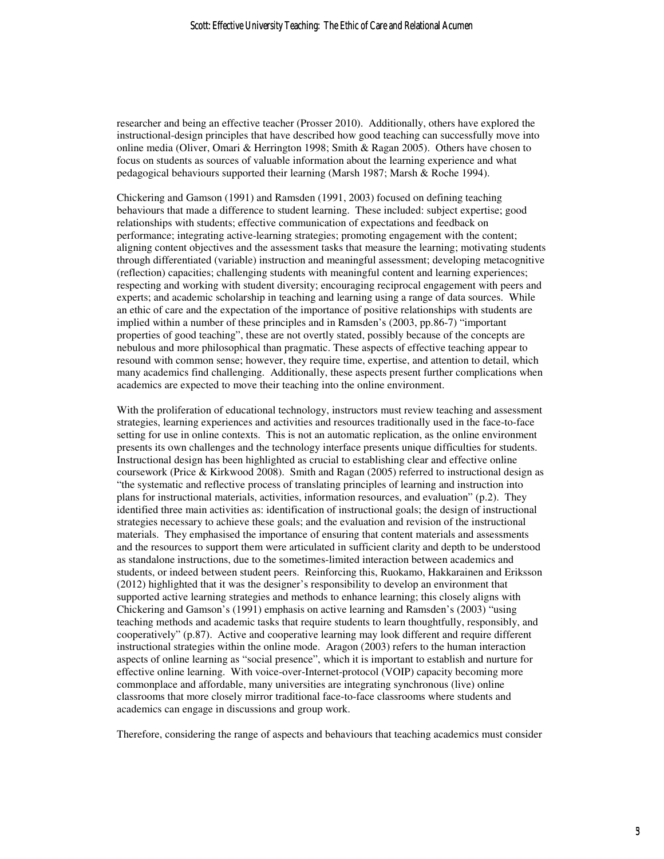researcher and being an effective teacher (Prosser 2010). Additionally, others have explored the instructional-design principles that have described how good teaching can successfully move into online media (Oliver, Omari & Herrington 1998; Smith & Ragan 2005). Others have chosen to focus on students as sources of valuable information about the learning experience and what pedagogical behaviours supported their learning (Marsh 1987; Marsh & Roche 1994).

Chickering and Gamson (1991) and Ramsden (1991, 2003) focused on defining teaching behaviours that made a difference to student learning. These included: subject expertise; good relationships with students; effective communication of expectations and feedback on performance; integrating active-learning strategies; promoting engagement with the content; aligning content objectives and the assessment tasks that measure the learning; motivating students through differentiated (variable) instruction and meaningful assessment; developing metacognitive (reflection) capacities; challenging students with meaningful content and learning experiences; respecting and working with student diversity; encouraging reciprocal engagement with peers and experts; and academic scholarship in teaching and learning using a range of data sources. While an ethic of care and the expectation of the importance of positive relationships with students are implied within a number of these principles and in Ramsden's (2003, pp.86-7) "important properties of good teaching", these are not overtly stated, possibly because of the concepts are nebulous and more philosophical than pragmatic. These aspects of effective teaching appear to resound with common sense; however, they require time, expertise, and attention to detail, which many academics find challenging. Additionally, these aspects present further complications when academics are expected to move their teaching into the online environment.

With the proliferation of educational technology, instructors must review teaching and assessment strategies, learning experiences and activities and resources traditionally used in the face-to-face setting for use in online contexts. This is not an automatic replication, as the online environment presents its own challenges and the technology interface presents unique difficulties for students. Instructional design has been highlighted as crucial to establishing clear and effective online coursework (Price & Kirkwood 2008). Smith and Ragan (2005) referred to instructional design as "the systematic and reflective process of translating principles of learning and instruction into plans for instructional materials, activities, information resources, and evaluation" (p.2). They identified three main activities as: identification of instructional goals; the design of instructional strategies necessary to achieve these goals; and the evaluation and revision of the instructional materials. They emphasised the importance of ensuring that content materials and assessments and the resources to support them were articulated in sufficient clarity and depth to be understood as standalone instructions, due to the sometimes-limited interaction between academics and students, or indeed between student peers. Reinforcing this, Ruokamo, Hakkarainen and Eriksson (2012) highlighted that it was the designer's responsibility to develop an environment that supported active learning strategies and methods to enhance learning; this closely aligns with Chickering and Gamson's (1991) emphasis on active learning and Ramsden's (2003) "using teaching methods and academic tasks that require students to learn thoughtfully, responsibly, and cooperatively" (p.87). Active and cooperative learning may look different and require different instructional strategies within the online mode. Aragon (2003) refers to the human interaction aspects of online learning as "social presence", which it is important to establish and nurture for effective online learning. With voice-over-Internet-protocol (VOIP) capacity becoming more commonplace and affordable, many universities are integrating synchronous (live) online classrooms that more closely mirror traditional face-to-face classrooms where students and academics can engage in discussions and group work.

Therefore, considering the range of aspects and behaviours that teaching academics must consider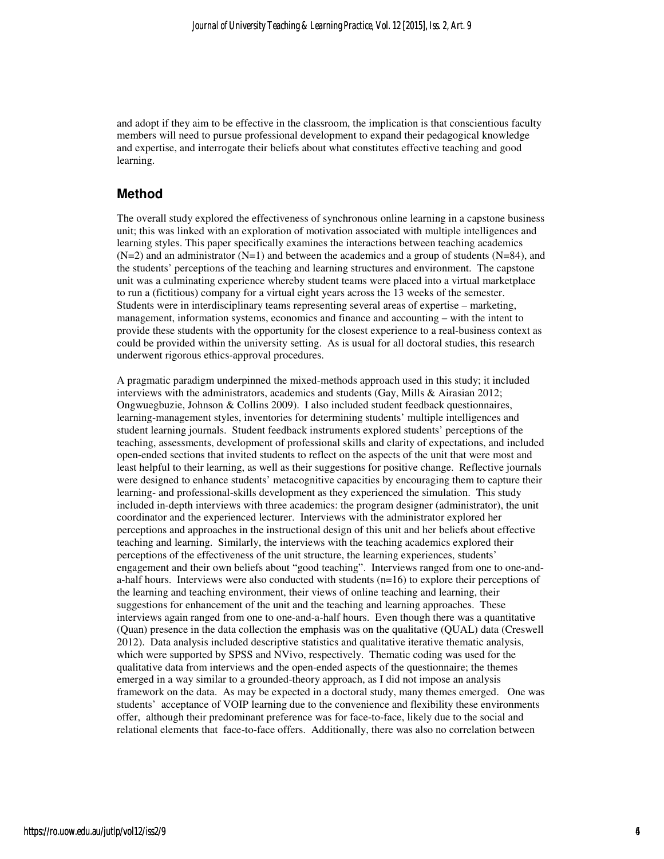and adopt if they aim to be effective in the classroom, the implication is that conscientious faculty members will need to pursue professional development to expand their pedagogical knowledge and expertise, and interrogate their beliefs about what constitutes effective teaching and good learning.

### **Method**

The overall study explored the effectiveness of synchronous online learning in a capstone business unit; this was linked with an exploration of motivation associated with multiple intelligences and learning styles. This paper specifically examines the interactions between teaching academics  $(N=2)$  and an administrator  $(N=1)$  and between the academics and a group of students  $(N=84)$ , and the students' perceptions of the teaching and learning structures and environment. The capstone unit was a culminating experience whereby student teams were placed into a virtual marketplace to run a (fictitious) company for a virtual eight years across the 13 weeks of the semester. Students were in interdisciplinary teams representing several areas of expertise – marketing, management, information systems, economics and finance and accounting – with the intent to provide these students with the opportunity for the closest experience to a real-business context as could be provided within the university setting. As is usual for all doctoral studies, this research underwent rigorous ethics-approval procedures.

A pragmatic paradigm underpinned the mixed-methods approach used in this study; it included interviews with the administrators, academics and students (Gay, Mills & Airasian 2012; Ongwuegbuzie, Johnson & Collins 2009). I also included student feedback questionnaires, learning-management styles, inventories for determining students' multiple intelligences and student learning journals. Student feedback instruments explored students' perceptions of the teaching, assessments, development of professional skills and clarity of expectations, and included open-ended sections that invited students to reflect on the aspects of the unit that were most and least helpful to their learning, as well as their suggestions for positive change. Reflective journals were designed to enhance students' metacognitive capacities by encouraging them to capture their learning- and professional-skills development as they experienced the simulation. This study included in-depth interviews with three academics: the program designer (administrator), the unit coordinator and the experienced lecturer. Interviews with the administrator explored her perceptions and approaches in the instructional design of this unit and her beliefs about effective teaching and learning. Similarly, the interviews with the teaching academics explored their perceptions of the effectiveness of the unit structure, the learning experiences, students' engagement and their own beliefs about "good teaching". Interviews ranged from one to one-anda-half hours. Interviews were also conducted with students  $(n=16)$  to explore their perceptions of the learning and teaching environment, their views of online teaching and learning, their suggestions for enhancement of the unit and the teaching and learning approaches. These interviews again ranged from one to one-and-a-half hours. Even though there was a quantitative (Quan) presence in the data collection the emphasis was on the qualitative (QUAL) data (Creswell 2012). Data analysis included descriptive statistics and qualitative iterative thematic analysis, which were supported by SPSS and NVivo, respectively. Thematic coding was used for the qualitative data from interviews and the open-ended aspects of the questionnaire; the themes emerged in a way similar to a grounded-theory approach, as I did not impose an analysis framework on the data. As may be expected in a doctoral study, many themes emerged. One was students' acceptance of VOIP learning due to the convenience and flexibility these environments offer, although their predominant preference was for face-to-face, likely due to the social and relational elements that face-to-face offers. Additionally, there was also no correlation between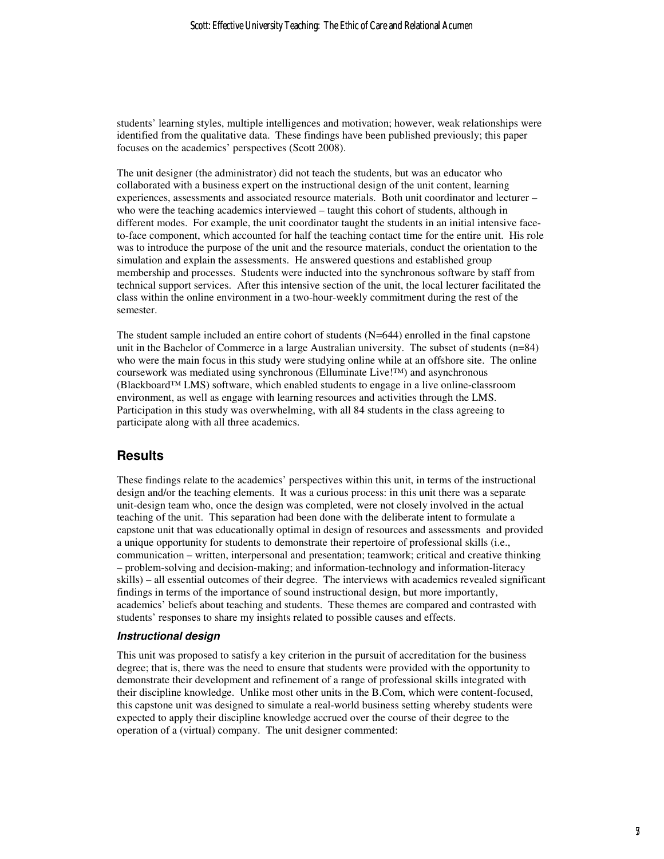students' learning styles, multiple intelligences and motivation; however, weak relationships were identified from the qualitative data. These findings have been published previously; this paper focuses on the academics' perspectives (Scott 2008).

The unit designer (the administrator) did not teach the students, but was an educator who collaborated with a business expert on the instructional design of the unit content, learning experiences, assessments and associated resource materials. Both unit coordinator and lecturer – who were the teaching academics interviewed – taught this cohort of students, although in different modes. For example, the unit coordinator taught the students in an initial intensive faceto-face component, which accounted for half the teaching contact time for the entire unit. His role was to introduce the purpose of the unit and the resource materials, conduct the orientation to the simulation and explain the assessments. He answered questions and established group membership and processes. Students were inducted into the synchronous software by staff from technical support services. After this intensive section of the unit, the local lecturer facilitated the class within the online environment in a two-hour-weekly commitment during the rest of the semester.

The student sample included an entire cohort of students  $(N=644)$  enrolled in the final capstone unit in the Bachelor of Commerce in a large Australian university. The subset of students (n=84) who were the main focus in this study were studying online while at an offshore site. The online coursework was mediated using synchronous (Elluminate Live! $TM$ ) and asynchronous  $(Blackboard^{\mathsf{T}M}LMS)$  software, which enabled students to engage in a live online-classroom environment, as well as engage with learning resources and activities through the LMS. Participation in this study was overwhelming, with all 84 students in the class agreeing to participate along with all three academics.

### **Results**

These findings relate to the academics' perspectives within this unit, in terms of the instructional design and/or the teaching elements. It was a curious process: in this unit there was a separate unit-design team who, once the design was completed, were not closely involved in the actual teaching of the unit. This separation had been done with the deliberate intent to formulate a capstone unit that was educationally optimal in design of resources and assessments and provided a unique opportunity for students to demonstrate their repertoire of professional skills (i.e., communication – written, interpersonal and presentation; teamwork; critical and creative thinking – problem-solving and decision-making; and information-technology and information-literacy skills) – all essential outcomes of their degree. The interviews with academics revealed significant findings in terms of the importance of sound instructional design, but more importantly, academics' beliefs about teaching and students. These themes are compared and contrasted with students' responses to share my insights related to possible causes and effects.

#### **Instructional design**

This unit was proposed to satisfy a key criterion in the pursuit of accreditation for the business degree; that is, there was the need to ensure that students were provided with the opportunity to demonstrate their development and refinement of a range of professional skills integrated with their discipline knowledge. Unlike most other units in the B.Com, which were content-focused, this capstone unit was designed to simulate a real-world business setting whereby students were expected to apply their discipline knowledge accrued over the course of their degree to the operation of a (virtual) company. The unit designer commented: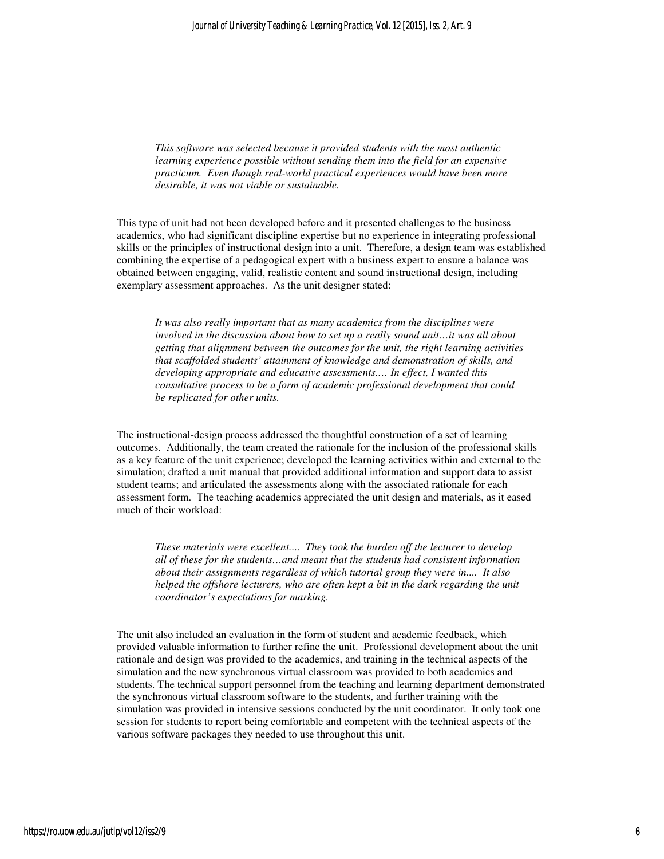*This software was selected because it provided students with the most authentic learning experience possible without sending them into the field for an expensive practicum. Even though real-world practical experiences would have been more desirable, it was not viable or sustainable.* 

This type of unit had not been developed before and it presented challenges to the business academics, who had significant discipline expertise but no experience in integrating professional skills or the principles of instructional design into a unit. Therefore, a design team was established combining the expertise of a pedagogical expert with a business expert to ensure a balance was obtained between engaging, valid, realistic content and sound instructional design, including exemplary assessment approaches. As the unit designer stated:

*It was also really important that as many academics from the disciplines were involved in the discussion about how to set up a really sound unit…it was all about getting that alignment between the outcomes for the unit, the right learning activities that scaffolded students' attainment of knowledge and demonstration of skills, and developing appropriate and educative assessments.… In effect, I wanted this consultative process to be a form of academic professional development that could be replicated for other units.* 

The instructional-design process addressed the thoughtful construction of a set of learning outcomes. Additionally, the team created the rationale for the inclusion of the professional skills as a key feature of the unit experience; developed the learning activities within and external to the simulation; drafted a unit manual that provided additional information and support data to assist student teams; and articulated the assessments along with the associated rationale for each assessment form. The teaching academics appreciated the unit design and materials, as it eased much of their workload:

*These materials were excellent.... They took the burden off the lecturer to develop all of these for the students…and meant that the students had consistent information about their assignments regardless of which tutorial group they were in.... It also helped the offshore lecturers, who are often kept a bit in the dark regarding the unit coordinator's expectations for marking.* 

The unit also included an evaluation in the form of student and academic feedback, which provided valuable information to further refine the unit. Professional development about the unit rationale and design was provided to the academics, and training in the technical aspects of the simulation and the new synchronous virtual classroom was provided to both academics and students. The technical support personnel from the teaching and learning department demonstrated the synchronous virtual classroom software to the students, and further training with the simulation was provided in intensive sessions conducted by the unit coordinator. It only took one session for students to report being comfortable and competent with the technical aspects of the various software packages they needed to use throughout this unit.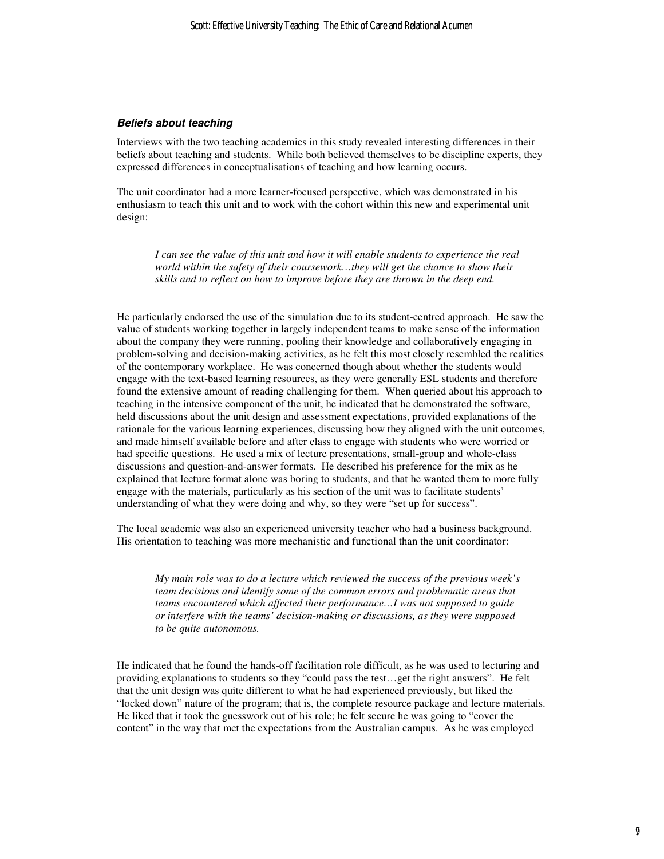#### **Beliefs about teaching**

Interviews with the two teaching academics in this study revealed interesting differences in their beliefs about teaching and students. While both believed themselves to be discipline experts, they expressed differences in conceptualisations of teaching and how learning occurs.

The unit coordinator had a more learner-focused perspective, which was demonstrated in his enthusiasm to teach this unit and to work with the cohort within this new and experimental unit design:

*I can see the value of this unit and how it will enable students to experience the real world within the safety of their coursework…they will get the chance to show their skills and to reflect on how to improve before they are thrown in the deep end.* 

He particularly endorsed the use of the simulation due to its student-centred approach. He saw the value of students working together in largely independent teams to make sense of the information about the company they were running, pooling their knowledge and collaboratively engaging in problem-solving and decision-making activities, as he felt this most closely resembled the realities of the contemporary workplace. He was concerned though about whether the students would engage with the text-based learning resources, as they were generally ESL students and therefore found the extensive amount of reading challenging for them. When queried about his approach to teaching in the intensive component of the unit, he indicated that he demonstrated the software, held discussions about the unit design and assessment expectations, provided explanations of the rationale for the various learning experiences, discussing how they aligned with the unit outcomes, and made himself available before and after class to engage with students who were worried or had specific questions. He used a mix of lecture presentations, small-group and whole-class discussions and question-and-answer formats. He described his preference for the mix as he explained that lecture format alone was boring to students, and that he wanted them to more fully engage with the materials, particularly as his section of the unit was to facilitate students' understanding of what they were doing and why, so they were "set up for success".

The local academic was also an experienced university teacher who had a business background. His orientation to teaching was more mechanistic and functional than the unit coordinator:

*My main role was to do a lecture which reviewed the success of the previous week's team decisions and identify some of the common errors and problematic areas that teams encountered which affected their performance…I was not supposed to guide or interfere with the teams' decision-making or discussions, as they were supposed to be quite autonomous.* 

He indicated that he found the hands-off facilitation role difficult, as he was used to lecturing and providing explanations to students so they "could pass the test…get the right answers". He felt that the unit design was quite different to what he had experienced previously, but liked the "locked down" nature of the program; that is, the complete resource package and lecture materials. He liked that it took the guesswork out of his role; he felt secure he was going to "cover the content" in the way that met the expectations from the Australian campus. As he was employed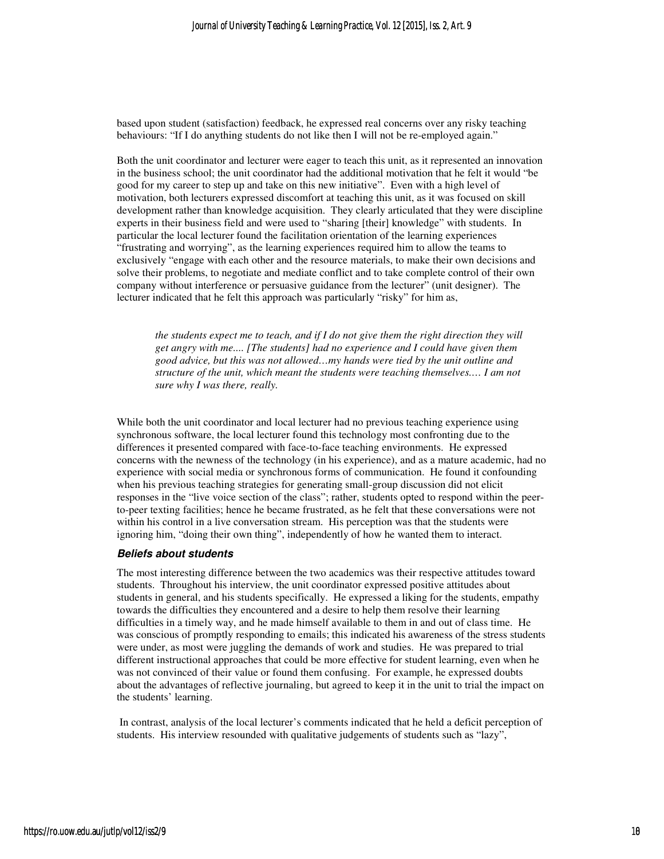based upon student (satisfaction) feedback, he expressed real concerns over any risky teaching behaviours: "If I do anything students do not like then I will not be re-employed again."

Both the unit coordinator and lecturer were eager to teach this unit, as it represented an innovation in the business school; the unit coordinator had the additional motivation that he felt it would "be good for my career to step up and take on this new initiative". Even with a high level of motivation, both lecturers expressed discomfort at teaching this unit, as it was focused on skill development rather than knowledge acquisition. They clearly articulated that they were discipline experts in their business field and were used to "sharing [their] knowledge" with students. In particular the local lecturer found the facilitation orientation of the learning experiences "frustrating and worrying", as the learning experiences required him to allow the teams to exclusively "engage with each other and the resource materials, to make their own decisions and solve their problems, to negotiate and mediate conflict and to take complete control of their own company without interference or persuasive guidance from the lecturer" (unit designer). The lecturer indicated that he felt this approach was particularly "risky" for him as,

*the students expect me to teach, and if I do not give them the right direction they will get angry with me.... [The students] had no experience and I could have given them good advice, but this was not allowed…my hands were tied by the unit outline and structure of the unit, which meant the students were teaching themselves.… I am not sure why I was there, really.* 

While both the unit coordinator and local lecturer had no previous teaching experience using synchronous software, the local lecturer found this technology most confronting due to the differences it presented compared with face-to-face teaching environments. He expressed concerns with the newness of the technology (in his experience), and as a mature academic, had no experience with social media or synchronous forms of communication. He found it confounding when his previous teaching strategies for generating small-group discussion did not elicit responses in the "live voice section of the class"; rather, students opted to respond within the peerto-peer texting facilities; hence he became frustrated, as he felt that these conversations were not within his control in a live conversation stream. His perception was that the students were ignoring him, "doing their own thing", independently of how he wanted them to interact.

#### **Beliefs about students**

The most interesting difference between the two academics was their respective attitudes toward students. Throughout his interview, the unit coordinator expressed positive attitudes about students in general, and his students specifically. He expressed a liking for the students, empathy towards the difficulties they encountered and a desire to help them resolve their learning difficulties in a timely way, and he made himself available to them in and out of class time. He was conscious of promptly responding to emails; this indicated his awareness of the stress students were under, as most were juggling the demands of work and studies. He was prepared to trial different instructional approaches that could be more effective for student learning, even when he was not convinced of their value or found them confusing. For example, he expressed doubts about the advantages of reflective journaling, but agreed to keep it in the unit to trial the impact on the students' learning.

 In contrast, analysis of the local lecturer's comments indicated that he held a deficit perception of students. His interview resounded with qualitative judgements of students such as "lazy",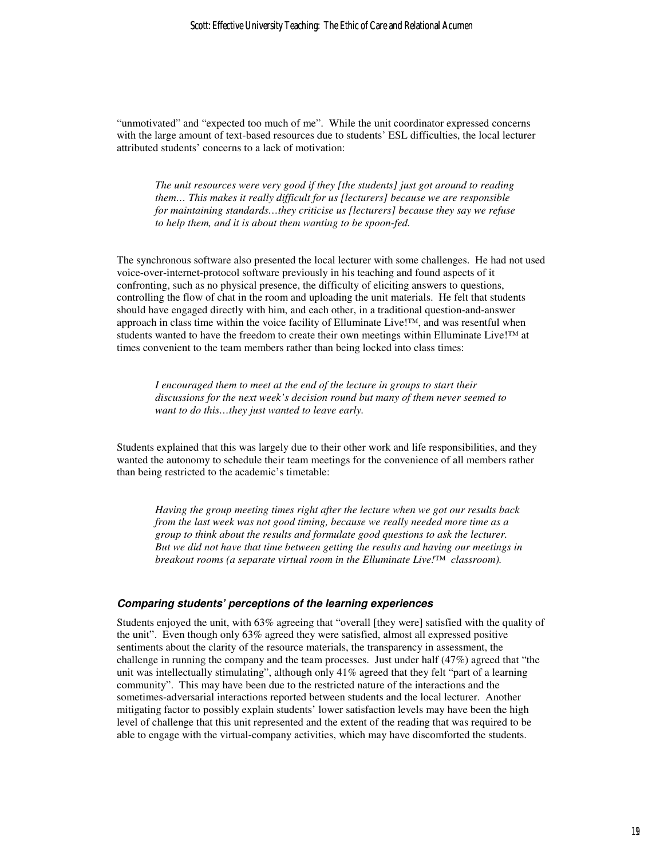"unmotivated" and "expected too much of me". While the unit coordinator expressed concerns with the large amount of text-based resources due to students' ESL difficulties, the local lecturer attributed students' concerns to a lack of motivation:

*The unit resources were very good if they [the students] just got around to reading them… This makes it really difficult for us [lecturers] because we are responsible for maintaining standards…they criticise us [lecturers] because they say we refuse to help them, and it is about them wanting to be spoon-fed.* 

The synchronous software also presented the local lecturer with some challenges. He had not used voice-over-internet-protocol software previously in his teaching and found aspects of it confronting, such as no physical presence, the difficulty of eliciting answers to questions, controlling the flow of chat in the room and uploading the unit materials. He felt that students should have engaged directly with him, and each other, in a traditional question-and-answer approach in class time within the voice facility of Elluminate Live!™, and was resentful when students wanted to have the freedom to create their own meetings within Elluminate Live!™ at times convenient to the team members rather than being locked into class times:

*I encouraged them to meet at the end of the lecture in groups to start their discussions for the next week's decision round but many of them never seemed to want to do this…they just wanted to leave early.* 

Students explained that this was largely due to their other work and life responsibilities, and they wanted the autonomy to schedule their team meetings for the convenience of all members rather than being restricted to the academic's timetable:

*Having the group meeting times right after the lecture when we got our results back from the last week was not good timing, because we really needed more time as a group to think about the results and formulate good questions to ask the lecturer. But we did not have that time between getting the results and having our meetings in breakout rooms (a separate virtual room in the Elluminate Live!™ classroom).* 

#### **Comparing students' perceptions of the learning experiences**

Students enjoyed the unit, with 63% agreeing that "overall [they were] satisfied with the quality of the unit". Even though only 63% agreed they were satisfied, almost all expressed positive sentiments about the clarity of the resource materials, the transparency in assessment, the challenge in running the company and the team processes. Just under half (47%) agreed that "the unit was intellectually stimulating", although only 41% agreed that they felt "part of a learning community". This may have been due to the restricted nature of the interactions and the sometimes-adversarial interactions reported between students and the local lecturer. Another mitigating factor to possibly explain students' lower satisfaction levels may have been the high level of challenge that this unit represented and the extent of the reading that was required to be able to engage with the virtual-company activities, which may have discomforted the students.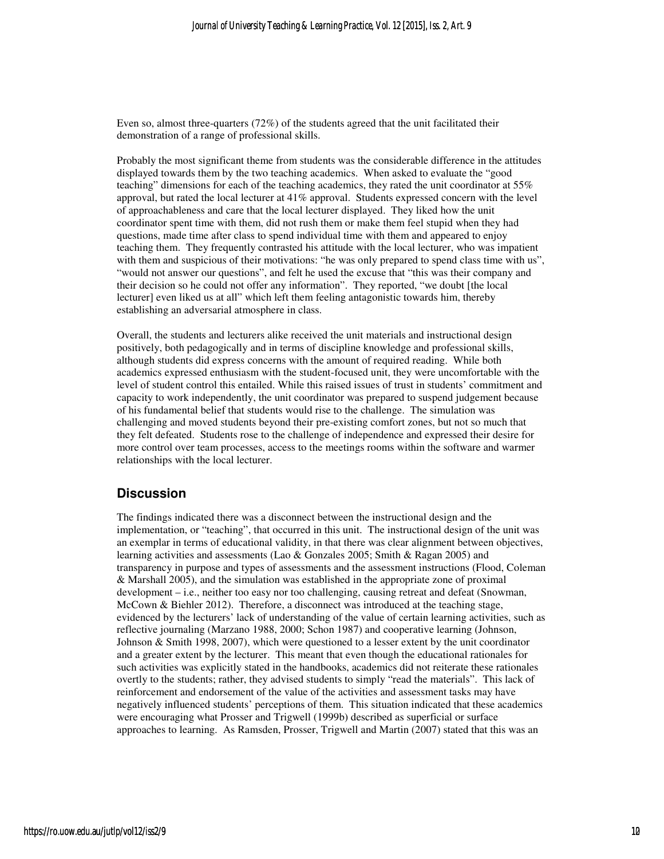Even so, almost three-quarters (72%) of the students agreed that the unit facilitated their demonstration of a range of professional skills.

Probably the most significant theme from students was the considerable difference in the attitudes displayed towards them by the two teaching academics. When asked to evaluate the "good teaching" dimensions for each of the teaching academics, they rated the unit coordinator at 55% approval, but rated the local lecturer at 41% approval. Students expressed concern with the level of approachableness and care that the local lecturer displayed. They liked how the unit coordinator spent time with them, did not rush them or make them feel stupid when they had questions, made time after class to spend individual time with them and appeared to enjoy teaching them. They frequently contrasted his attitude with the local lecturer, who was impatient with them and suspicious of their motivations: "he was only prepared to spend class time with us", "would not answer our questions", and felt he used the excuse that "this was their company and their decision so he could not offer any information". They reported, "we doubt [the local lecturer] even liked us at all" which left them feeling antagonistic towards him, thereby establishing an adversarial atmosphere in class.

Overall, the students and lecturers alike received the unit materials and instructional design positively, both pedagogically and in terms of discipline knowledge and professional skills, although students did express concerns with the amount of required reading. While both academics expressed enthusiasm with the student-focused unit, they were uncomfortable with the level of student control this entailed. While this raised issues of trust in students' commitment and capacity to work independently, the unit coordinator was prepared to suspend judgement because of his fundamental belief that students would rise to the challenge. The simulation was challenging and moved students beyond their pre-existing comfort zones, but not so much that they felt defeated. Students rose to the challenge of independence and expressed their desire for more control over team processes, access to the meetings rooms within the software and warmer relationships with the local lecturer.

### **Discussion**

The findings indicated there was a disconnect between the instructional design and the implementation, or "teaching", that occurred in this unit. The instructional design of the unit was an exemplar in terms of educational validity, in that there was clear alignment between objectives, learning activities and assessments (Lao & Gonzales 2005; Smith & Ragan 2005) and transparency in purpose and types of assessments and the assessment instructions (Flood, Coleman & Marshall 2005), and the simulation was established in the appropriate zone of proximal development – i.e., neither too easy nor too challenging, causing retreat and defeat (Snowman, McCown & Biehler 2012). Therefore, a disconnect was introduced at the teaching stage, evidenced by the lecturers' lack of understanding of the value of certain learning activities, such as reflective journaling (Marzano 1988, 2000; Schon 1987) and cooperative learning (Johnson, Johnson & Smith 1998, 2007), which were questioned to a lesser extent by the unit coordinator and a greater extent by the lecturer. This meant that even though the educational rationales for such activities was explicitly stated in the handbooks, academics did not reiterate these rationales overtly to the students; rather, they advised students to simply "read the materials". This lack of reinforcement and endorsement of the value of the activities and assessment tasks may have negatively influenced students' perceptions of them. This situation indicated that these academics were encouraging what Prosser and Trigwell (1999b) described as superficial or surface approaches to learning. As Ramsden, Prosser, Trigwell and Martin (2007) stated that this was an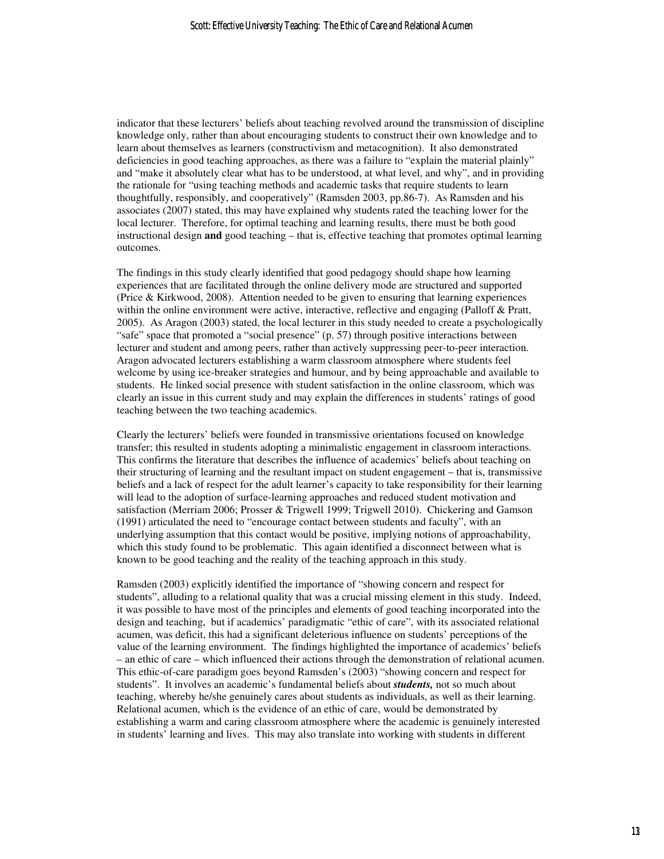indicator that these lecturers' beliefs about teaching revolved around the transmission of discipline knowledge only, rather than about encouraging students to construct their own knowledge and to learn about themselves as learners (constructivism and metacognition). It also demonstrated deficiencies in good teaching approaches, as there was a failure to "explain the material plainly" and "make it absolutely clear what has to be understood, at what level, and why", and in providing the rationale for "using teaching methods and academic tasks that require students to learn thoughtfully, responsibly, and cooperatively" (Ramsden 2003, pp.86-7). As Ramsden and his associates (2007) stated, this may have explained why students rated the teaching lower for the local lecturer. Therefore, for optimal teaching and learning results, there must be both good instructional design **and** good teaching – that is, effective teaching that promotes optimal learning outcomes.

The findings in this study clearly identified that good pedagogy should shape how learning experiences that are facilitated through the online delivery mode are structured and supported (Price & Kirkwood, 2008). Attention needed to be given to ensuring that learning experiences within the online environment were active, interactive, reflective and engaging (Palloff & Pratt, 2005). As Aragon (2003) stated, the local lecturer in this study needed to create a psychologically "safe" space that promoted a "social presence" (p. 57) through positive interactions between lecturer and student and among peers, rather than actively suppressing peer-to-peer interaction. Aragon advocated lecturers establishing a warm classroom atmosphere where students feel welcome by using ice-breaker strategies and humour, and by being approachable and available to students. He linked social presence with student satisfaction in the online classroom, which was clearly an issue in this current study and may explain the differences in students' ratings of good teaching between the two teaching academics.

Clearly the lecturers' beliefs were founded in transmissive orientations focused on knowledge transfer; this resulted in students adopting a minimalistic engagement in classroom interactions. This confirms the literature that describes the influence of academics' beliefs about teaching on their structuring of learning and the resultant impact on student engagement – that is, transmissive beliefs and a lack of respect for the adult learner's capacity to take responsibility for their learning will lead to the adoption of surface-learning approaches and reduced student motivation and satisfaction (Merriam 2006; Prosser & Trigwell 1999; Trigwell 2010). Chickering and Gamson (1991) articulated the need to "encourage contact between students and faculty", with an underlying assumption that this contact would be positive, implying notions of approachability, which this study found to be problematic. This again identified a disconnect between what is known to be good teaching and the reality of the teaching approach in this study.

Ramsden (2003) explicitly identified the importance of "showing concern and respect for students", alluding to a relational quality that was a crucial missing element in this study. Indeed, it was possible to have most of the principles and elements of good teaching incorporated into the design and teaching, but if academics' paradigmatic "ethic of care", with its associated relational acumen, was deficit, this had a significant deleterious influence on students' perceptions of the value of the learning environment. The findings highlighted the importance of academics' beliefs – an ethic of care – which influenced their actions through the demonstration of relational acumen. This ethic-of-care paradigm goes beyond Ramsden's (2003) "showing concern and respect for students". It involves an academic's fundamental beliefs about *students,* not so much about teaching, whereby he/she genuinely cares about students as individuals, as well as their learning. Relational acumen, which is the evidence of an ethic of care, would be demonstrated by establishing a warm and caring classroom atmosphere where the academic is genuinely interested in students' learning and lives. This may also translate into working with students in different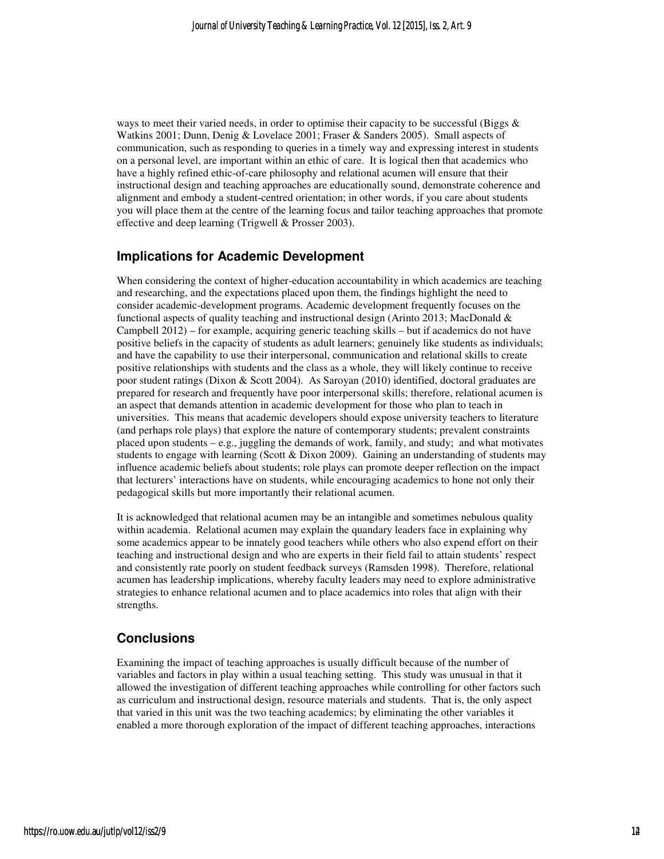ways to meet their varied needs, in order to optimise their capacity to be successful (Biggs  $\&$ Watkins 2001; Dunn, Denig & Lovelace 2001; Fraser & Sanders 2005). Small aspects of communication, such as responding to queries in a timely way and expressing interest in students on a personal level, are important within an ethic of care. It is logical then that academics who have a highly refined ethic-of-care philosophy and relational acumen will ensure that their instructional design and teaching approaches are educationally sound, demonstrate coherence and alignment and embody a student-centred orientation; in other words, if you care about students you will place them at the centre of the learning focus and tailor teaching approaches that promote effective and deep learning (Trigwell & Prosser 2003).

## **Implications for Academic Development**

When considering the context of higher-education accountability in which academics are teaching and researching, and the expectations placed upon them, the findings highlight the need to consider academic-development programs. Academic development frequently focuses on the functional aspects of quality teaching and instructional design (Arinto 2013; MacDonald & Campbell 2012) – for example, acquiring generic teaching skills – but if academics do not have positive beliefs in the capacity of students as adult learners; genuinely like students as individuals; and have the capability to use their interpersonal, communication and relational skills to create positive relationships with students and the class as a whole, they will likely continue to receive poor student ratings (Dixon & Scott 2004). As Saroyan (2010) identified, doctoral graduates are prepared for research and frequently have poor interpersonal skills; therefore, relational acumen is an aspect that demands attention in academic development for those who plan to teach in universities. This means that academic developers should expose university teachers to literature (and perhaps role plays) that explore the nature of contemporary students; prevalent constraints placed upon students  $-e.g.,$  juggling the demands of work, family, and study; and what motivates students to engage with learning (Scott & Dixon 2009). Gaining an understanding of students may influence academic beliefs about students; role plays can promote deeper reflection on the impact that lecturers' interactions have on students, while encouraging academics to hone not only their pedagogical skills but more importantly their relational acumen.

It is acknowledged that relational acumen may be an intangible and sometimes nebulous quality within academia. Relational acumen may explain the quandary leaders face in explaining why some academics appear to be innately good teachers while others who also expend effort on their teaching and instructional design and who are experts in their field fail to attain students' respect and consistently rate poorly on student feedback surveys (Ramsden 1998). Therefore, relational acumen has leadership implications, whereby faculty leaders may need to explore administrative strategies to enhance relational acumen and to place academics into roles that align with their strengths.

## **Conclusions**

Examining the impact of teaching approaches is usually difficult because of the number of variables and factors in play within a usual teaching setting. This study was unusual in that it allowed the investigation of different teaching approaches while controlling for other factors such as curriculum and instructional design, resource materials and students. That is, the only aspect that varied in this unit was the two teaching academics; by eliminating the other variables it enabled a more thorough exploration of the impact of different teaching approaches, interactions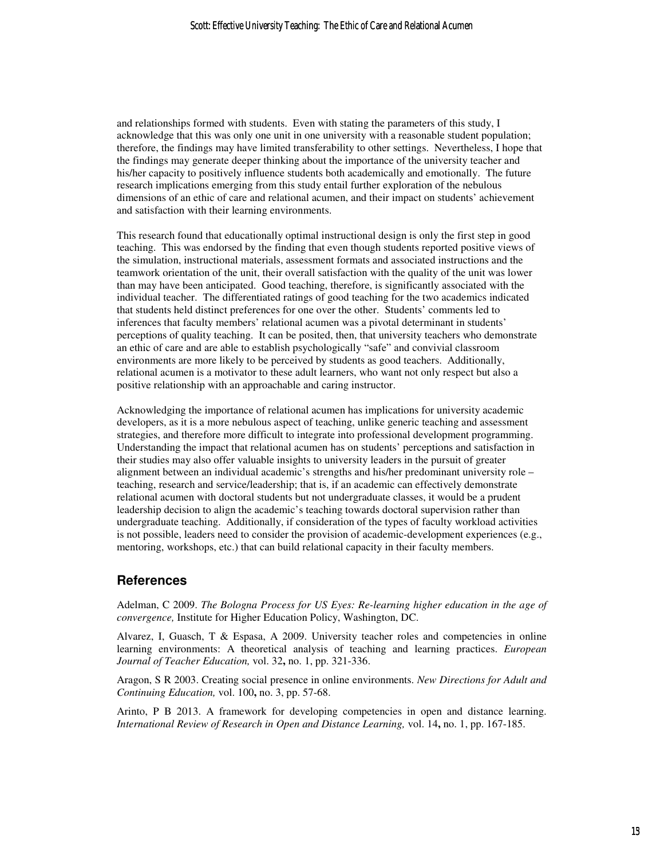and relationships formed with students. Even with stating the parameters of this study, I acknowledge that this was only one unit in one university with a reasonable student population; therefore, the findings may have limited transferability to other settings. Nevertheless, I hope that the findings may generate deeper thinking about the importance of the university teacher and his/her capacity to positively influence students both academically and emotionally. The future research implications emerging from this study entail further exploration of the nebulous dimensions of an ethic of care and relational acumen, and their impact on students' achievement and satisfaction with their learning environments.

This research found that educationally optimal instructional design is only the first step in good teaching. This was endorsed by the finding that even though students reported positive views of the simulation, instructional materials, assessment formats and associated instructions and the teamwork orientation of the unit, their overall satisfaction with the quality of the unit was lower than may have been anticipated. Good teaching, therefore, is significantly associated with the individual teacher. The differentiated ratings of good teaching for the two academics indicated that students held distinct preferences for one over the other. Students' comments led to inferences that faculty members' relational acumen was a pivotal determinant in students' perceptions of quality teaching. It can be posited, then, that university teachers who demonstrate an ethic of care and are able to establish psychologically "safe" and convivial classroom environments are more likely to be perceived by students as good teachers. Additionally, relational acumen is a motivator to these adult learners, who want not only respect but also a positive relationship with an approachable and caring instructor.

Acknowledging the importance of relational acumen has implications for university academic developers, as it is a more nebulous aspect of teaching, unlike generic teaching and assessment strategies, and therefore more difficult to integrate into professional development programming. Understanding the impact that relational acumen has on students' perceptions and satisfaction in their studies may also offer valuable insights to university leaders in the pursuit of greater alignment between an individual academic's strengths and his/her predominant university role – teaching, research and service/leadership; that is, if an academic can effectively demonstrate relational acumen with doctoral students but not undergraduate classes, it would be a prudent leadership decision to align the academic's teaching towards doctoral supervision rather than undergraduate teaching. Additionally, if consideration of the types of faculty workload activities is not possible, leaders need to consider the provision of academic-development experiences (e.g., mentoring, workshops, etc.) that can build relational capacity in their faculty members.

## **References**

Adelman, C 2009. *The Bologna Process for US Eyes: Re-learning higher education in the age of convergence,* Institute for Higher Education Policy, Washington, DC.

Alvarez, I, Guasch, T & Espasa, A 2009. University teacher roles and competencies in online learning environments: A theoretical analysis of teaching and learning practices. *European Journal of Teacher Education,* vol. 32**,** no. 1, pp. 321-336.

Aragon, S R 2003. Creating social presence in online environments. *New Directions for Adult and Continuing Education,* vol. 100**,** no. 3, pp. 57-68.

Arinto, P B 2013. A framework for developing competencies in open and distance learning. *International Review of Research in Open and Distance Learning,* vol. 14**,** no. 1, pp. 167-185.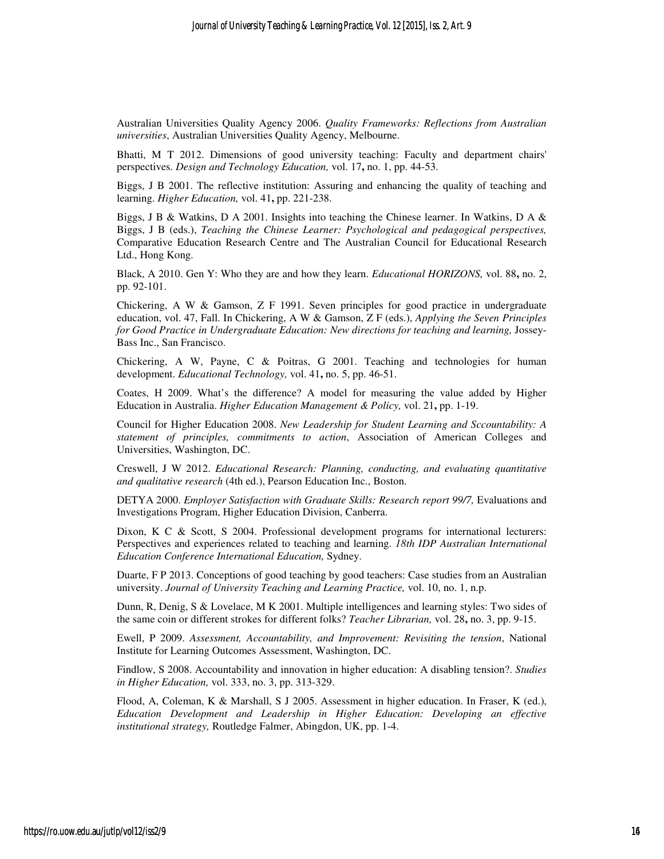Australian Universities Quality Agency 2006. *Quality Frameworks: Reflections from Australian universities*, Australian Universities Quality Agency, Melbourne.

Bhatti, M T 2012. Dimensions of good university teaching: Faculty and department chairs' perspectives. *Design and Technology Education,* vol. 17**,** no. 1, pp. 44-53.

Biggs, J B 2001. The reflective institution: Assuring and enhancing the quality of teaching and learning. *Higher Education,* vol. 41**,** pp. 221-238.

Biggs, J B & Watkins, D A 2001. Insights into teaching the Chinese learner. In Watkins, D A & Biggs, J B (eds.), *Teaching the Chinese Learner: Psychological and pedagogical perspectives,*  Comparative Education Research Centre and The Australian Council for Educational Research Ltd., Hong Kong.

Black, A 2010. Gen Y: Who they are and how they learn. *Educational HORIZONS,* vol. 88**,** no. 2, pp. 92-101.

Chickering, A W & Gamson, Z F 1991. Seven principles for good practice in undergraduate education, vol. 47, Fall. In Chickering, A W & Gamson, Z F (eds.), *Applying the Seven Principles for Good Practice in Undergraduate Education: New directions for teaching and learning, Jossey-*Bass Inc., San Francisco.

Chickering, A W, Payne, C & Poitras, G 2001. Teaching and technologies for human development. *Educational Technology,* vol. 41**,** no. 5, pp. 46-51.

Coates, H 2009. What's the difference? A model for measuring the value added by Higher Education in Australia. *Higher Education Management & Policy,* vol. 21**,** pp. 1-19.

Council for Higher Education 2008. *New Leadership for Student Learning and Sccountability: A statement of principles, commitments to action*, Association of American Colleges and Universities, Washington, DC.

Creswell, J W 2012. *Educational Research: Planning, conducting, and evaluating quantitative and qualitative research* (4th ed.), Pearson Education Inc., Boston.

DETYA 2000. *Employer Satisfaction with Graduate Skills: Research report 99/7,* Evaluations and Investigations Program, Higher Education Division, Canberra.

Dixon, K C & Scott, S 2004. Professional development programs for international lecturers: Perspectives and experiences related to teaching and learning. *18th IDP Australian International Education Conference International Education,* Sydney.

Duarte, F P 2013. Conceptions of good teaching by good teachers: Case studies from an Australian university. *Journal of University Teaching and Learning Practice,* vol. 10, no. 1, n.p.

Dunn, R, Denig, S & Lovelace, M K 2001. Multiple intelligences and learning styles: Two sides of the same coin or different strokes for different folks? *Teacher Librarian,* vol. 28**,** no. 3, pp. 9-15.

Ewell, P 2009. *Assessment, Accountability, and Improvement: Revisiting the tension*, National Institute for Learning Outcomes Assessment, Washington, DC.

Findlow, S 2008. Accountability and innovation in higher education: A disabling tension?. *Studies in Higher Education,* vol. 333, no. 3, pp. 313-329.

Flood, A, Coleman, K & Marshall, S J 2005. Assessment in higher education. In Fraser, K (ed.), *Education Development and Leadership in Higher Education: Developing an effective institutional strategy,* Routledge Falmer, Abingdon, UK, pp. 1-4.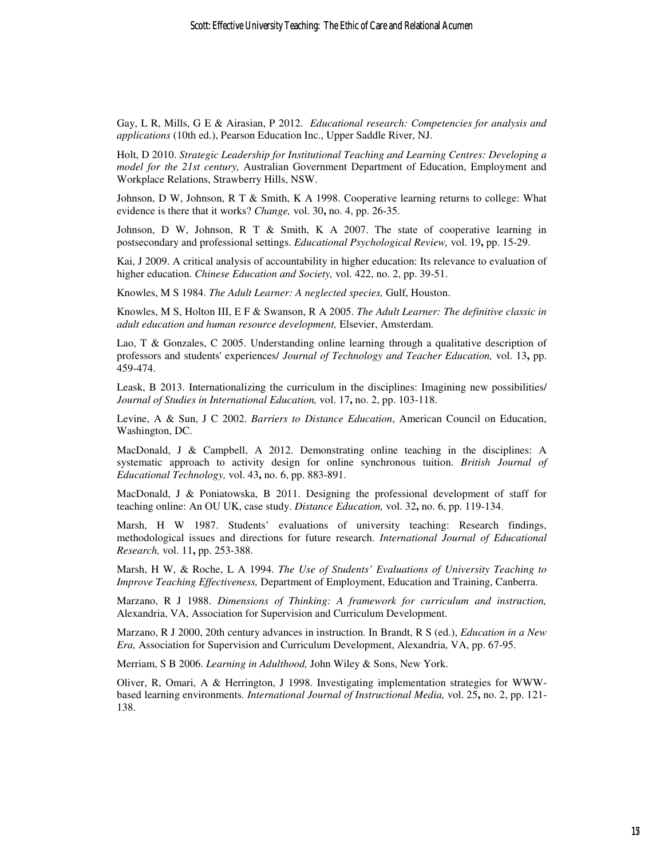Gay, L R, Mills, G E & Airasian, P 2012. *Educational research: Competencies for analysis and applications* (10th ed.), Pearson Education Inc., Upper Saddle River, NJ.

Holt, D 2010. *Strategic Leadership for Institutional Teaching and Learning Centres: Developing a model for the 21st century,* Australian Government Department of Education, Employment and Workplace Relations, Strawberry Hills, NSW.

Johnson, D W, Johnson, R T & Smith, K A 1998. Cooperative learning returns to college: What evidence is there that it works? *Change,* vol. 30**,** no. 4, pp. 26-35.

Johnson, D W, Johnson, R T & Smith, K A 2007. The state of cooperative learning in postsecondary and professional settings. *Educational Psychological Review,* vol. 19**,** pp. 15-29.

Kai, J 2009. A critical analysis of accountability in higher education: Its relevance to evaluation of higher education. *Chinese Education and Society,* vol. 422, no. 2, pp. 39-51.

Knowles, M S 1984. *The Adult Learner: A neglected species,* Gulf, Houston.

Knowles, M S, Holton III, E F & Swanson, R A 2005. *The Adult Learner: The definitive classic in adult education and human resource development,* Elsevier, Amsterdam.

Lao, T & Gonzales, C 2005. Understanding online learning through a qualitative description of professors and students' experiences/ *Journal of Technology and Teacher Education,* vol. 13**,** pp. 459-474.

Leask, B 2013. Internationalizing the curriculum in the disciplines: Imagining new possibilities/ *Journal of Studies in International Education,* vol. 17**,** no. 2, pp. 103-118.

Levine, A & Sun, J C 2002. *Barriers to Distance Education*, American Council on Education, Washington, DC.

MacDonald, J & Campbell, A 2012. Demonstrating online teaching in the disciplines: A systematic approach to activity design for online synchronous tuition. *British Journal of Educational Technology,* vol. 43**,** no. 6, pp. 883-891.

MacDonald, J & Poniatowska, B 2011. Designing the professional development of staff for teaching online: An OU UK, case study. *Distance Education,* vol. 32**,** no. 6, pp. 119-134.

Marsh, H W 1987. Students' evaluations of university teaching: Research findings, methodological issues and directions for future research. *International Journal of Educational Research,* vol. 11**,** pp. 253-388.

Marsh, H W, & Roche, L A 1994. *The Use of Students' Evaluations of University Teaching to Improve Teaching Effectiveness,* Department of Employment, Education and Training, Canberra.

Marzano, R J 1988. *Dimensions of Thinking: A framework for curriculum and instruction,*  Alexandria, VA, Association for Supervision and Curriculum Development.

Marzano, R J 2000, 20th century advances in instruction. In Brandt, R S (ed.), *Education in a New Era,* Association for Supervision and Curriculum Development, Alexandria, VA, pp. 67-95.

Merriam, S B 2006. *Learning in Adulthood,* John Wiley & Sons, New York.

Oliver, R, Omari, A & Herrington, J 1998. Investigating implementation strategies for WWWbased learning environments. *International Journal of Instructional Media,* vol. 25**,** no. 2, pp. 121- 138.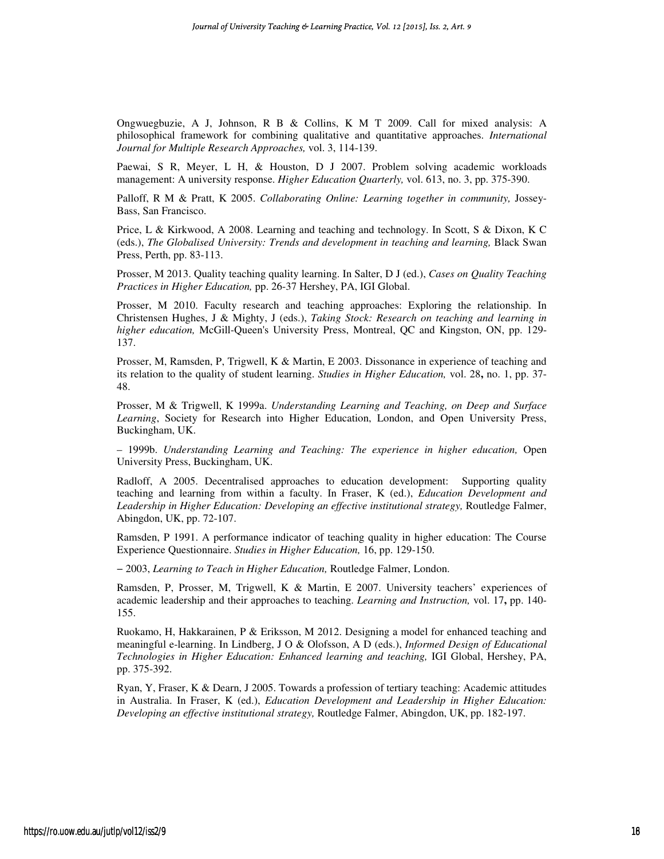Ongwuegbuzie, A J, Johnson, R B & Collins, K M T 2009. Call for mixed analysis: A philosophical framework for combining qualitative and quantitative approaches. *International Journal for Multiple Research Approaches,* vol. 3, 114-139.

Paewai, S R, Meyer, L H, & Houston, D J 2007. Problem solving academic workloads management: A university response. *Higher Education Quarterly,* vol. 613, no. 3, pp. 375-390.

Palloff, R M & Pratt, K 2005. *Collaborating Online: Learning together in community,* Jossey-Bass, San Francisco.

Price, L & Kirkwood, A 2008. Learning and teaching and technology. In Scott, S & Dixon, K C (eds.), *The Globalised University: Trends and development in teaching and learning*, Black Swan Press, Perth, pp. 83-113.

Prosser, M 2013. Quality teaching quality learning. In Salter, D J (ed.), *Cases on Quality Teaching Practices in Higher Education,* pp. 26-37 Hershey, PA, IGI Global.

Prosser, M 2010. Faculty research and teaching approaches: Exploring the relationship. In Christensen Hughes, J & Mighty, J (eds.), *Taking Stock: Research on teaching and learning in higher education,* McGill-Queen's University Press, Montreal, QC and Kingston, ON, pp. 129- 137.

Prosser, M, Ramsden, P, Trigwell, K & Martin, E 2003. Dissonance in experience of teaching and its relation to the quality of student learning. *Studies in Higher Education,* vol. 28**,** no. 1, pp. 37- 48.

Prosser, M & Trigwell, K 1999a. *Understanding Learning and Teaching, on Deep and Surface Learning*, Society for Research into Higher Education, London, and Open University Press, Buckingham, UK.

– 1999b. *Understanding Learning and Teaching: The experience in higher education,* Open University Press, Buckingham, UK.

Radloff, A 2005. Decentralised approaches to education development: Supporting quality teaching and learning from within a faculty. In Fraser, K (ed.), *Education Development and*  Leadership in Higher Education: Developing an effective institutional strategy, Routledge Falmer, Abingdon, UK, pp. 72-107.

Ramsden, P 1991. A performance indicator of teaching quality in higher education: The Course Experience Questionnaire. *Studies in Higher Education,* 16, pp. 129-150.

− 2003, *Learning to Teach in Higher Education,* Routledge Falmer, London.

Ramsden, P, Prosser, M, Trigwell, K & Martin, E 2007. University teachers' experiences of academic leadership and their approaches to teaching. *Learning and Instruction,* vol. 17**,** pp. 140- 155.

Ruokamo, H, Hakkarainen, P & Eriksson, M 2012. Designing a model for enhanced teaching and meaningful e-learning. In Lindberg, J O & Olofsson, A D (eds.), *Informed Design of Educational Technologies in Higher Education: Enhanced learning and teaching,* IGI Global, Hershey, PA, pp. 375-392.

Ryan, Y, Fraser, K & Dearn, J 2005. Towards a profession of tertiary teaching: Academic attitudes in Australia. In Fraser, K (ed.), *Education Development and Leadership in Higher Education: Developing an effective institutional strategy,* Routledge Falmer, Abingdon, UK, pp. 182-197.